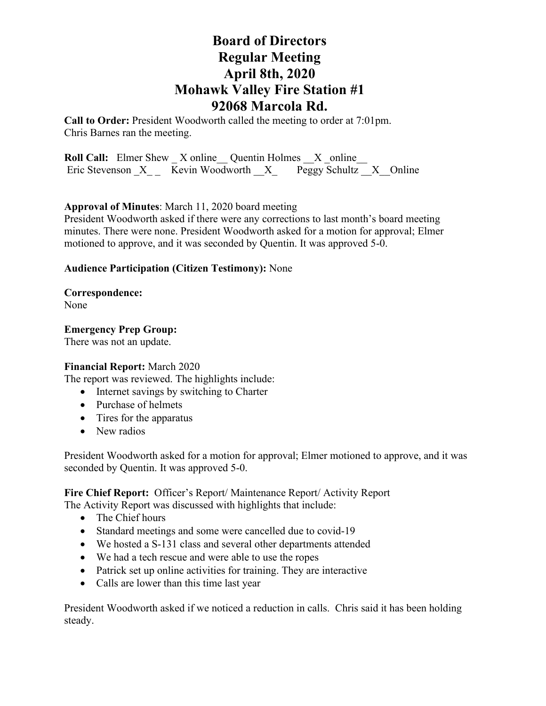## **Board of Directors Regular Meeting April 8th, 2020 Mohawk Valley Fire Station #1 92068 Marcola Rd.**

**Call to Order:** President Woodworth called the meeting to order at 7:01pm. Chris Barnes ran the meeting.

**Roll Call:** Elmer Shew X online Quentin Holmes X online Eric Stevenson  $X$   $\overline{\text{K}}$  Revin Woodworth  $\overline{X}$  Peggy Schultz  $\overline{X}$  Online

**Approval of Minutes**: March 11, 2020 board meeting

President Woodworth asked if there were any corrections to last month's board meeting minutes. There were none. President Woodworth asked for a motion for approval; Elmer motioned to approve, and it was seconded by Quentin. It was approved 5-0.

#### **Audience Participation (Citizen Testimony):** None

**Correspondence:**  None

#### **Emergency Prep Group:**

There was not an update.

#### **Financial Report:** March 2020

The report was reviewed. The highlights include:

- Internet savings by switching to Charter
- Purchase of helmets
- Tires for the apparatus
- New radios

President Woodworth asked for a motion for approval; Elmer motioned to approve, and it was seconded by Quentin. It was approved 5-0.

#### **Fire Chief Report:** Officer's Report/ Maintenance Report/ Activity Report The Activity Report was discussed with highlights that include:

- The Chief hours
- Standard meetings and some were cancelled due to covid-19
- We hosted a S-131 class and several other departments attended
- We had a tech rescue and were able to use the ropes
- Patrick set up online activities for training. They are interactive
- Calls are lower than this time last year

President Woodworth asked if we noticed a reduction in calls. Chris said it has been holding steady.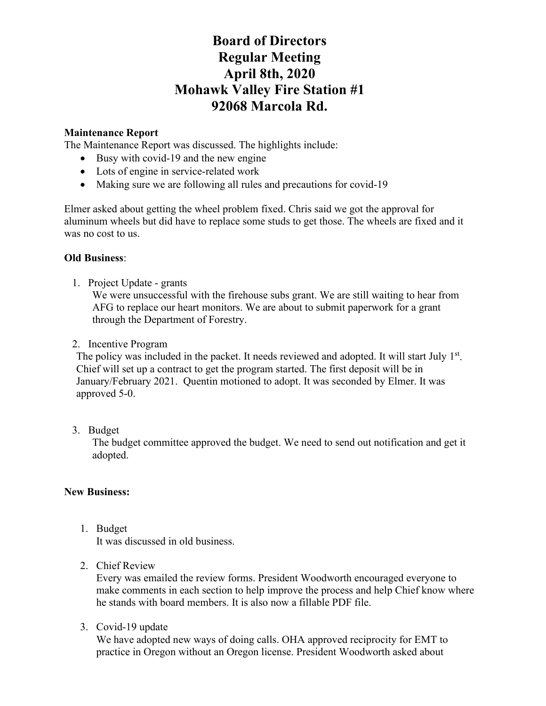# **Board of Directors Regular Meeting April 8th, 2020 Mohawk Valley Fire Station #1 92068 Marcola Rd.**

### **Maintenance Report**

The Maintenance Report was discussed. The highlights include:

- Busy with covid-19 and the new engine
- Lots of engine in service-related work
- Making sure we are following all rules and precautions for covid-19

Elmer asked about getting the wheel problem fixed. Chris said we got the approval for aluminum wheels but did have to replace some studs to get those. The wheels are fixed and it was no cost to us.

### **Old Business**:

1. Project Update - grants

We were unsuccessful with the firehouse subs grant. We are still waiting to hear from AFG to replace our heart monitors. We are about to submit paperwork for a grant through the Department of Forestry.

2. Incentive Program

The policy was included in the packet. It needs reviewed and adopted. It will start July 1<sup>st</sup>. Chief will set up a contract to get the program started. The first deposit will be in January/February 2021. Quentin motioned to adopt. It was seconded by Elmer. It was approved 5-0.

3. Budget

The budget committee approved the budget. We need to send out notification and get it adopted.

#### **New Business:**

1. Budget

It was discussed in old business.

2. Chief Review

Every was emailed the review forms. President Woodworth encouraged everyone to make comments in each section to help improve the process and help Chief know where he stands with board members. It is also now a fillable PDF file.

3. Covid-19 update

We have adopted new ways of doing calls. OHA approved reciprocity for EMT to practice in Oregon without an Oregon license. President Woodworth asked about